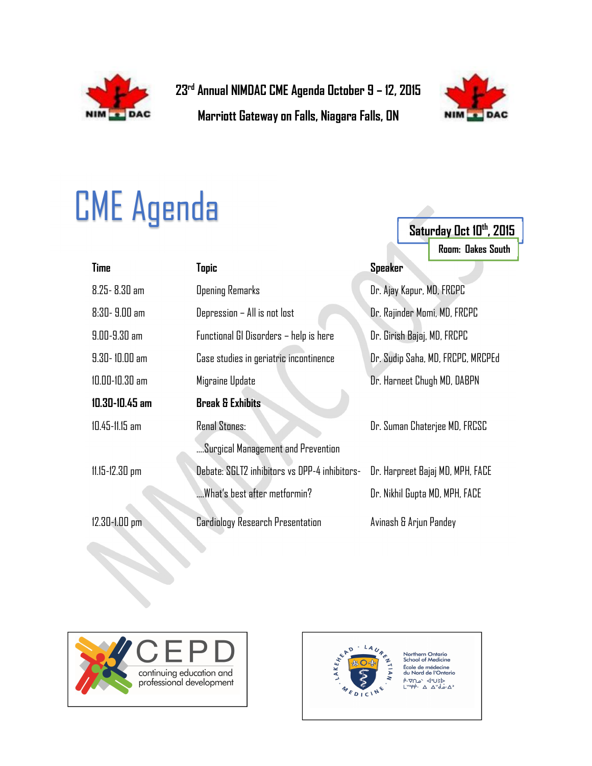

23rd Annual NIMDAC CME Agenda October 9 – 12, 2015

Marriott Gateway on Falls, Niagara Falls, ON



Saturday Oct 10th, 2015

Room: Oakes South

## CME Agenda

| <b>Time</b>        | Tapic                                         | <b>Speaker</b>                    |
|--------------------|-----------------------------------------------|-----------------------------------|
| $8.25 - 8.30$ am   | <b>Opening Remarks</b>                        | Dr. Ajay Kapur, MD, FRCPC         |
| $8:30 - 9.00$ am   | Depression - All is not lost                  | Dr. Rajinder Momi, MD, FRCPC      |
| $9.00 - 9.30$ am   | Functional GI Disorders - help is here        | Dr. Girish Bajaj, MD, FRCPC       |
| $9.30 - 10.00$ am  | Case studies in geriatric incontinence        | Dr. Sudip Saha, MD, FRCPC, MRCPEd |
| $10.00 - 10.30$ am | Migraine Update                               | Dr. Harneet Chugh MD, DABPN       |
| $10.30 - 10.45$ am | <b>Break &amp; Exhibits</b>                   |                                   |
| $10.45 - 11.15$ am | <b>Renal Stones:</b>                          | Dr. Suman Chaterjee MD, FRCSC     |
|                    | Surgical Management and Prevention            |                                   |
| $11.15 - 12.30$ pm | Debate: SGLT2 inhibitors vs DPP-4 inhibitors- | Dr. Harpreet Bajaj MD, MPH, FACE  |
|                    | What's best after metformin?                  | Dr. Nikhil Gupta MD, MPH, FACE    |
| 12.30-1.00 pm.     | <b>Cardiology Research Presentation</b>       | Avinash & Arjun Pandey            |





Northern Ontario<br>School of Medicine École de médecine du Nord de l'Ontario JEU'S 'and.  $\Delta$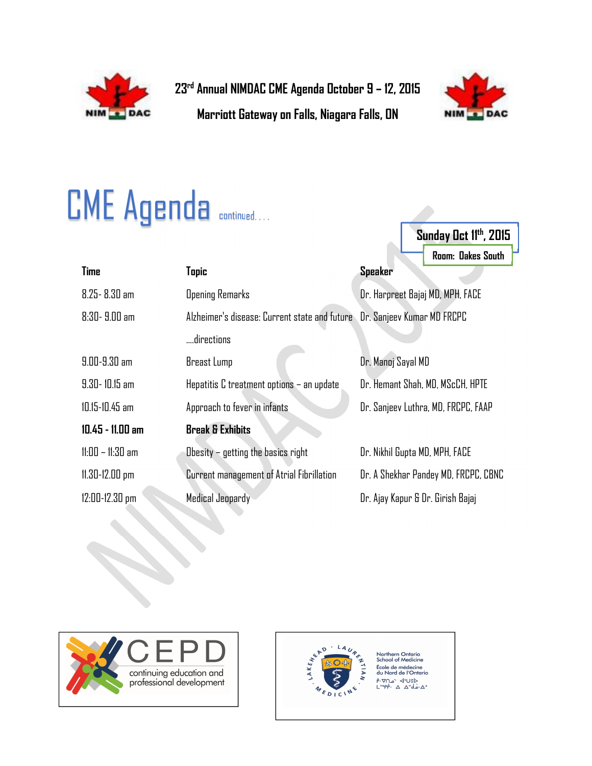

23rd Annual NIMDAC CME Agenda October 9 – 12, 2015

Marriott Gateway on Falls, Niagara Falls, ON



Sunday Oct 11<sup>th</sup>, 2015

## **CME Agenda continued....**

|                    |                                                                          |                                      | Room: Dakes South |
|--------------------|--------------------------------------------------------------------------|--------------------------------------|-------------------|
| <b>Time</b>        | <b>Topic</b>                                                             | Speaker                              |                   |
| $8.25 - 8.30$ am   | <b>Opening Remarks</b>                                                   | Dr. Harpreet Bajaj MD, MPH, FACE     |                   |
| $8:30 - 9.00$ am   | Alzheimer's disease: Current state and future Dr. Sanjeev Kumar MD FRCPC |                                      |                   |
|                    | directions                                                               |                                      |                   |
| $9.00 - 9.30$ am   | Breast Lump                                                              | Dr. Manoj Sayal MD                   |                   |
| $9.30 - 10.15$ am  | Hepatitis C treatment options - an update                                | Dr. Hemant Shah, MD, MScCH, HPTE     |                   |
| $10.15 - 10.45$ am | Approach to fever in infants                                             | Dr. Sanjeev Luthra, MD, FRCPC, FAAP  |                   |
| $10.45 - 11.00$ am | <b>Break &amp; Exhibits</b>                                              |                                      |                   |
| $11:00 - 11:30$ am | Obesity $-$ getting the basics right                                     | Dr. Nikhil Gupta MD, MPH, FACE       |                   |
| $11.30 - 12.00$ pm | Current management of Atrial Fibrillation                                | Dr. A Shekhar Pandey MD, FRCPC, CBNC |                   |
| 12:00-12.30 pm     | Medical Jeopardy                                                         | Dr. Ajay Kapur & Dr. Girish Bajaj    |                   |